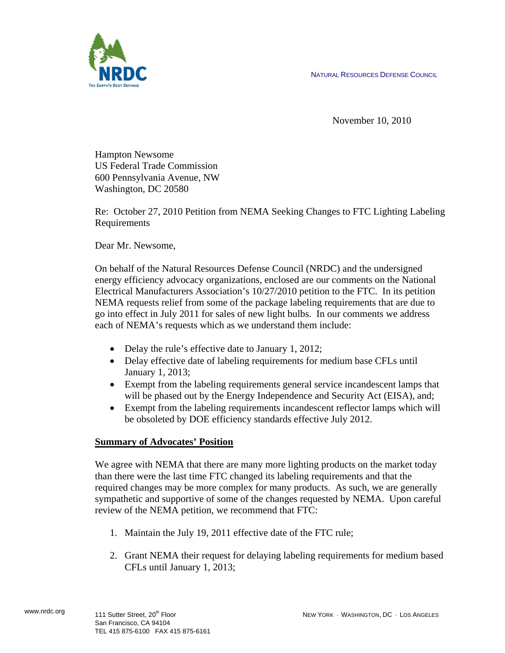NATURAL RESOURCES DEFENSE COUNCIL



November 10, 2010

Hampton Newsome US Federal Trade Commission 600 Pennsylvania Avenue, NW Washington, DC 20580

Re: October 27, 2010 Petition from NEMA Seeking Changes to FTC Lighting Labeling Requirements

Dear Mr. Newsome,

On behalf of the Natural Resources Defense Council (NRDC) and the undersigned energy efficiency advocacy organizations, enclosed are our comments on the National Electrical Manufacturers Association's 10/27/2010 petition to the FTC. In its petition NEMA requests relief from some of the package labeling requirements that are due to go into effect in July 2011 for sales of new light bulbs. In our comments we address each of NEMA's requests which as we understand them include:

- Delay the rule's effective date to January 1, 2012;
- Delay effective date of labeling requirements for medium base CFLs until January 1, 2013;
- Exempt from the labeling requirements general service incandescent lamps that will be phased out by the Energy Independence and Security Act (EISA), and;
- Exempt from the labeling requirements incandescent reflector lamps which will be obsoleted by DOE efficiency standards effective July 2012.

# **Summary of Advocates' Position**

We agree with NEMA that there are many more lighting products on the market today than there were the last time FTC changed its labeling requirements and that the required changes may be more complex for many products. As such, we are generally sympathetic and supportive of some of the changes requested by NEMA. Upon careful review of the NEMA petition, we recommend that FTC:

- 1. Maintain the July 19, 2011 effective date of the FTC rule;
- 2. Grant NEMA their request for delaying labeling requirements for medium based CFLs until January 1, 2013;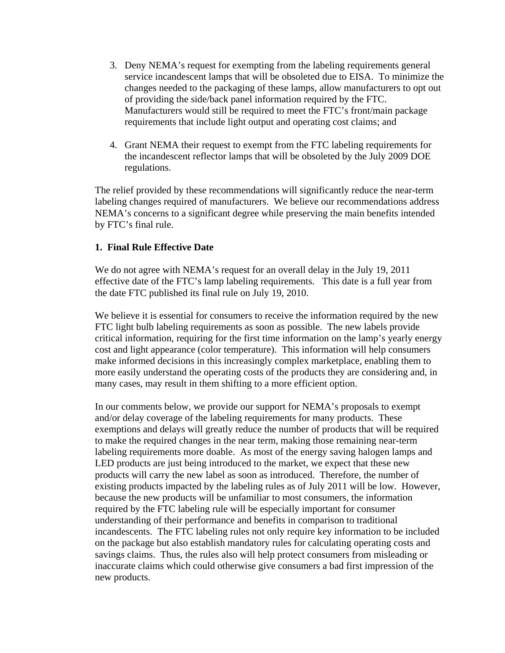- 3. Deny NEMA's request for exempting from the labeling requirements general service incandescent lamps that will be obsoleted due to EISA. To minimize the changes needed to the packaging of these lamps, allow manufacturers to opt out of providing the side/back panel information required by the FTC. Manufacturers would still be required to meet the FTC's front/main package requirements that include light output and operating cost claims; and
- 4. Grant NEMA their request to exempt from the FTC labeling requirements for the incandescent reflector lamps that will be obsoleted by the July 2009 DOE regulations.

The relief provided by these recommendations will significantly reduce the near-term labeling changes required of manufacturers. We believe our recommendations address NEMA's concerns to a significant degree while preserving the main benefits intended by FTC's final rule.

### **1. Final Rule Effective Date**

We do not agree with NEMA's request for an overall delay in the July 19, 2011 effective date of the FTC's lamp labeling requirements. This date is a full year from the date FTC published its final rule on July 19, 2010.

We believe it is essential for consumers to receive the information required by the new FTC light bulb labeling requirements as soon as possible. The new labels provide critical information, requiring for the first time information on the lamp's yearly energy cost and light appearance (color temperature). This information will help consumers make informed decisions in this increasingly complex marketplace, enabling them to more easily understand the operating costs of the products they are considering and, in many cases, may result in them shifting to a more efficient option.

In our comments below, we provide our support for NEMA's proposals to exempt and/or delay coverage of the labeling requirements for many products. These exemptions and delays will greatly reduce the number of products that will be required to make the required changes in the near term, making those remaining near-term labeling requirements more doable. As most of the energy saving halogen lamps and LED products are just being introduced to the market, we expect that these new products will carry the new label as soon as introduced. Therefore, the number of existing products impacted by the labeling rules as of July 2011 will be low. However, because the new products will be unfamiliar to most consumers, the information required by the FTC labeling rule will be especially important for consumer understanding of their performance and benefits in comparison to traditional incandescents. The FTC labeling rules not only require key information to be included on the package but also establish mandatory rules for calculating operating costs and savings claims. Thus, the rules also will help protect consumers from misleading or inaccurate claims which could otherwise give consumers a bad first impression of the new products.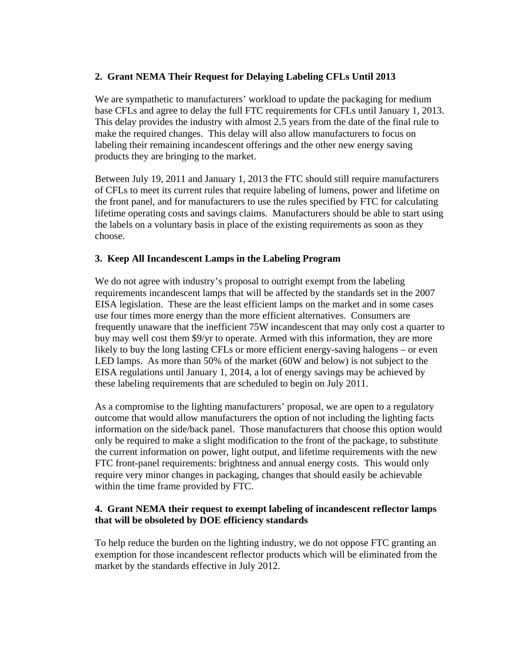# **2. Grant NEMA Their Request for Delaying Labeling CFLs Until 2013**

We are sympathetic to manufacturers' workload to update the packaging for medium base CFLs and agree to delay the full FTC requirements for CFLs until January 1, 2013. This delay provides the industry with almost 2.5 years from the date of the final rule to make the required changes. This delay will also allow manufacturers to focus on labeling their remaining incandescent offerings and the other new energy saving products they are bringing to the market.

Between July 19, 2011 and January 1, 2013 the FTC should still require manufacturers of CFLs to meet its current rules that require labeling of lumens, power and lifetime on the front panel, and for manufacturers to use the rules specified by FTC for calculating lifetime operating costs and savings claims. Manufacturers should be able to start using the labels on a voluntary basis in place of the existing requirements as soon as they choose.

# **3. Keep All Incandescent Lamps in the Labeling Program**

We do not agree with industry's proposal to outright exempt from the labeling requirements incandescent lamps that will be affected by the standards set in the 2007 EISA legislation. These are the least efficient lamps on the market and in some cases use four times more energy than the more efficient alternatives. Consumers are frequently unaware that the inefficient 75W incandescent that may only cost a quarter to buy may well cost them \$9/yr to operate. Armed with this information, they are more likely to buy the long lasting CFLs or more efficient energy-saving halogens – or even LED lamps. As more than 50% of the market (60W and below) is not subject to the EISA regulations until January 1, 2014, a lot of energy savings may be achieved by these labeling requirements that are scheduled to begin on July 2011.

As a compromise to the lighting manufacturers' proposal, we are open to a regulatory outcome that would allow manufacturers the option of not including the lighting facts information on the side/back panel. Those manufacturers that choose this option would only be required to make a slight modification to the front of the package, to substitute the current information on power, light output, and lifetime requirements with the new FTC front-panel requirements: brightness and annual energy costs. This would only require very minor changes in packaging, changes that should easily be achievable within the time frame provided by FTC.

# **4. Grant NEMA their request to exempt labeling of incandescent reflector lamps that will be obsoleted by DOE efficiency standards**

To help reduce the burden on the lighting industry, we do not oppose FTC granting an exemption for those incandescent reflector products which will be eliminated from the market by the standards effective in July 2012.